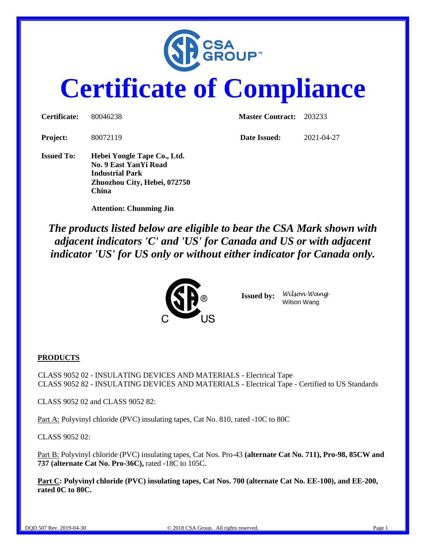

# **Certificate of Compliance**

| Certificate:      | 80046238                                                                                                                       | <b>Master Contract:</b> 203233 |            |
|-------------------|--------------------------------------------------------------------------------------------------------------------------------|--------------------------------|------------|
| <b>Project:</b>   | 80072119                                                                                                                       | Date Issued:                   | 2021-04-27 |
| <b>Issued To:</b> | Hebei Yongle Tape Co., Ltd.<br>No. 9 East YanYi Road<br><b>Industrial Park</b><br>Zhuozhou City, Hebei, 072750<br><b>China</b> |                                |            |

 **Attention: Chunming Jin**

*The products listed below are eligible to bear the CSA Mark shown with adjacent indicators 'C' and 'US' for Canada and US or with adjacent indicator 'US' for US only or without either indicator for Canada only.*



**Issued by:** *Wilson Wang* Wilson Wang

#### **PRODUCTS**

CLASS 9052 02 - INSULATING DEVICES AND MATERIALS - Electrical Tape CLASS 9052 82 - INSULATING DEVICES AND MATERIALS - Electrical Tape - Certified to US Standards

CLASS 9052 02 and CLASS 9052 82:

Part A: Polyvinyl chloride (PVC) insulating tapes, Cat No. 810, rated -10C to 80C

CLASS 9052 02:

Part B: Polyvinyl chloride (PVC) insulating tapes, Cat Nos. Pro-43 **(alternate Cat No. 711), Pro-98, 85CW and 737 (alternate Cat No. Pro-36C),** rated -18C to 105C.

**Part C: Polyvinyl chloride (PVC) insulating tapes, Cat Nos. 700 (alternate Cat No. EE-100), and EE-200, rated 0C to 80C.**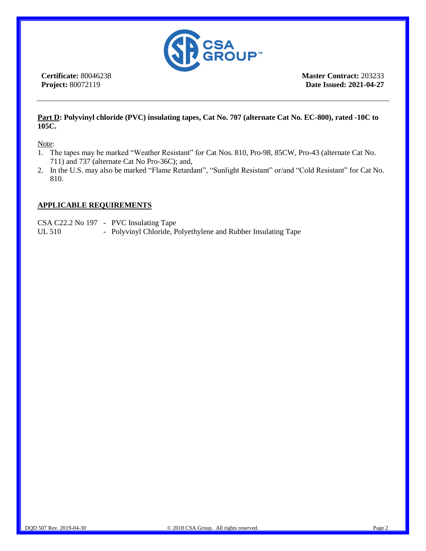

**Certificate:** 80046238 **Project:** 80072119

**Master Contract:** 203233 **Date Issued: 2021-04-27**

#### **Part D: Polyvinyl chloride (PVC) insulating tapes, Cat No. 707 (alternate Cat No. EC-800), rated -10C to 105C.**

Note:

- 1. The tapes may be marked "Weather Resistant" for Cat Nos. 810, Pro-98, 85CW, Pro-43 (alternate Cat No. 711) and 737 (alternate Cat No Pro-36C); and,
- 2. In the U.S. may also be marked "Flame Retardant", "Sunlight Resistant" or/and "Cold Resistant" for Cat No. 810.

#### **APPLICABLE REQUIREMENTS**

CSA C22.2 No 197 - PVC Insulating Tape

UL 510 - Polyvinyl Chloride, Polyethylene and Rubber Insulating Tape